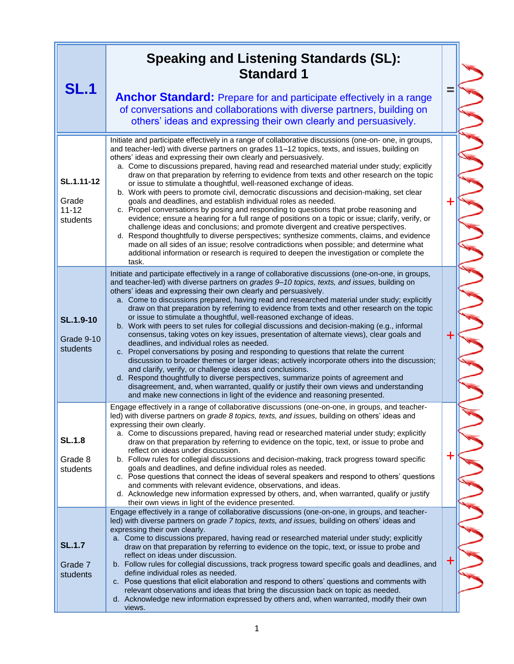| <b>SL.1</b>                                  | <b>Speaking and Listening Standards (SL):</b><br><b>Standard 1</b><br><b>Anchor Standard:</b> Prepare for and participate effectively in a range<br>of conversations and collaborations with diverse partners, building on<br>others' ideas and expressing their own clearly and persuasively.                                                                                                                                                                                                                                                                                                                                                                                                                                                                                                                                                                                                                                                                                                                                                                                                                                                                                                                                                                                                                    |             |  |
|----------------------------------------------|-------------------------------------------------------------------------------------------------------------------------------------------------------------------------------------------------------------------------------------------------------------------------------------------------------------------------------------------------------------------------------------------------------------------------------------------------------------------------------------------------------------------------------------------------------------------------------------------------------------------------------------------------------------------------------------------------------------------------------------------------------------------------------------------------------------------------------------------------------------------------------------------------------------------------------------------------------------------------------------------------------------------------------------------------------------------------------------------------------------------------------------------------------------------------------------------------------------------------------------------------------------------------------------------------------------------|-------------|--|
| SL.1.11-12<br>Grade<br>$11 - 12$<br>students | Initiate and participate effectively in a range of collaborative discussions (one-on- one, in groups,<br>and teacher-led) with diverse partners on grades 11-12 topics, texts, and issues, building on<br>others' ideas and expressing their own clearly and persuasively.<br>a. Come to discussions prepared, having read and researched material under study; explicitly<br>draw on that preparation by referring to evidence from texts and other research on the topic<br>or issue to stimulate a thoughtful, well-reasoned exchange of ideas.<br>b. Work with peers to promote civil, democratic discussions and decision-making, set clear<br>goals and deadlines, and establish individual roles as needed.<br>c. Propel conversations by posing and responding to questions that probe reasoning and<br>evidence; ensure a hearing for a full range of positions on a topic or issue; clarify, verify, or<br>challenge ideas and conclusions; and promote divergent and creative perspectives.<br>d. Respond thoughtfully to diverse perspectives; synthesize comments, claims, and evidence<br>made on all sides of an issue; resolve contradictions when possible; and determine what<br>additional information or research is required to deepen the investigation or complete the<br>task.            | ╅           |  |
| <b>SL.1.9-10</b><br>Grade 9-10<br>students   | Initiate and participate effectively in a range of collaborative discussions (one-on-one, in groups,<br>and teacher-led) with diverse partners on grades 9-10 topics, texts, and issues, building on<br>others' ideas and expressing their own clearly and persuasively.<br>a. Come to discussions prepared, having read and researched material under study; explicitly<br>draw on that preparation by referring to evidence from texts and other research on the topic<br>or issue to stimulate a thoughtful, well-reasoned exchange of ideas.<br>b. Work with peers to set rules for collegial discussions and decision-making (e.g., informal<br>consensus, taking votes on key issues, presentation of alternate views), clear goals and<br>deadlines, and individual roles as needed.<br>c. Propel conversations by posing and responding to questions that relate the current<br>discussion to broader themes or larger ideas; actively incorporate others into the discussion;<br>and clarify, verify, or challenge ideas and conclusions.<br>d. Respond thoughtfully to diverse perspectives, summarize points of agreement and<br>disagreement, and, when warranted, qualify or justify their own views and understanding<br>and make new connections in light of the evidence and reasoning presented. | $\mathbf +$ |  |
| <b>SL.1.8</b><br>Grade 8<br>students         | Engage effectively in a range of collaborative discussions (one-on-one, in groups, and teacher-<br>led) with diverse partners on grade 8 topics, texts, and issues, building on others' ideas and<br>expressing their own clearly.<br>a. Come to discussions prepared, having read or researched material under study; explicitly<br>draw on that preparation by referring to evidence on the topic, text, or issue to probe and<br>reflect on ideas under discussion.<br>b. Follow rules for collegial discussions and decision-making, track progress toward specific<br>goals and deadlines, and define individual roles as needed.<br>c. Pose questions that connect the ideas of several speakers and respond to others' questions<br>and comments with relevant evidence, observations, and ideas.<br>d. Acknowledge new information expressed by others, and, when warranted, qualify or justify<br>their own views in light of the evidence presented.                                                                                                                                                                                                                                                                                                                                                    | ╅           |  |
| <b>SL.1.7</b><br>Grade 7<br>students         | Engage effectively in a range of collaborative discussions (one-on-one, in groups, and teacher-<br>led) with diverse partners on grade 7 topics, texts, and issues, building on others' ideas and<br>expressing their own clearly.<br>a. Come to discussions prepared, having read or researched material under study; explicitly<br>draw on that preparation by referring to evidence on the topic, text, or issue to probe and<br>reflect on ideas under discussion.<br>b. Follow rules for collegial discussions, track progress toward specific goals and deadlines, and<br>define individual roles as needed.<br>c. Pose questions that elicit elaboration and respond to others' questions and comments with<br>relevant observations and ideas that bring the discussion back on topic as needed.<br>d. Acknowledge new information expressed by others and, when warranted, modify their own<br>views.                                                                                                                                                                                                                                                                                                                                                                                                    | ╅           |  |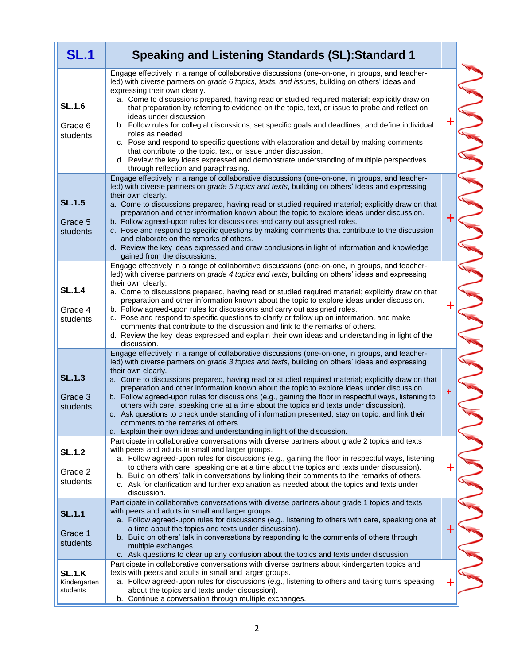| <b>SL.1</b>                               | <b>Speaking and Listening Standards (SL): Standard 1</b>                                                                                                                                                                                                                                                                                                                                                                                                                                                                                                                                                                                                                                                                                                                                                                                                                                     |             |
|-------------------------------------------|----------------------------------------------------------------------------------------------------------------------------------------------------------------------------------------------------------------------------------------------------------------------------------------------------------------------------------------------------------------------------------------------------------------------------------------------------------------------------------------------------------------------------------------------------------------------------------------------------------------------------------------------------------------------------------------------------------------------------------------------------------------------------------------------------------------------------------------------------------------------------------------------|-------------|
| <b>SL.1.6</b><br>Grade 6<br>students      | Engage effectively in a range of collaborative discussions (one-on-one, in groups, and teacher-<br>led) with diverse partners on grade 6 topics, texts, and issues, building on others' ideas and<br>expressing their own clearly.<br>a. Come to discussions prepared, having read or studied required material; explicitly draw on<br>that preparation by referring to evidence on the topic, text, or issue to probe and reflect on<br>ideas under discussion.<br>b. Follow rules for collegial discussions, set specific goals and deadlines, and define individual<br>roles as needed.<br>c. Pose and respond to specific questions with elaboration and detail by making comments<br>that contribute to the topic, text, or issue under discussion.<br>d. Review the key ideas expressed and demonstrate understanding of multiple perspectives<br>through reflection and paraphrasing. | $\pm$       |
| <b>SL.1.5</b><br>Grade 5<br>students      | Engage effectively in a range of collaborative discussions (one-on-one, in groups, and teacher-<br>led) with diverse partners on grade 5 topics and texts, building on others' ideas and expressing<br>their own clearly.<br>a. Come to discussions prepared, having read or studied required material; explicitly draw on that<br>preparation and other information known about the topic to explore ideas under discussion.<br>b. Follow agreed-upon rules for discussions and carry out assigned roles.<br>c. Pose and respond to specific questions by making comments that contribute to the discussion<br>and elaborate on the remarks of others.<br>d. Review the key ideas expressed and draw conclusions in light of information and knowledge<br>gained from the discussions.                                                                                                      | $\mathbf +$ |
| <b>SL.1.4</b><br>Grade 4<br>students      | Engage effectively in a range of collaborative discussions (one-on-one, in groups, and teacher-<br>led) with diverse partners on grade 4 topics and texts, building on others' ideas and expressing<br>their own clearly.<br>a. Come to discussions prepared, having read or studied required material; explicitly draw on that<br>preparation and other information known about the topic to explore ideas under discussion.<br>b. Follow agreed-upon rules for discussions and carry out assigned roles.<br>c. Pose and respond to specific questions to clarify or follow up on information, and make<br>comments that contribute to the discussion and link to the remarks of others.<br>d. Review the key ideas expressed and explain their own ideas and understanding in light of the<br>discussion.                                                                                  | $\mathbf +$ |
| <b>SL.1.3</b><br>Grade 3<br>students      | Engage effectively in a range of collaborative discussions (one-on-one, in groups, and teacher-<br>led) with diverse partners on grade 3 topics and texts, building on others' ideas and expressing<br>their own clearly.<br>a. Come to discussions prepared, having read or studied required material; explicitly draw on that<br>preparation and other information known about the topic to explore ideas under discussion.<br>b. Follow agreed-upon rules for discussions (e.g., gaining the floor in respectful ways, listening to<br>others with care, speaking one at a time about the topics and texts under discussion).<br>c. Ask questions to check understanding of information presented, stay on topic, and link their<br>comments to the remarks of others.<br>d. Explain their own ideas and understanding in light of the discussion.                                        | $+$         |
| <b>SL.1.2</b><br>Grade 2<br>students      | Participate in collaborative conversations with diverse partners about grade 2 topics and texts<br>with peers and adults in small and larger groups.<br>a. Follow agreed-upon rules for discussions (e.g., gaining the floor in respectful ways, listening<br>to others with care, speaking one at a time about the topics and texts under discussion).<br>b. Build on others' talk in conversations by linking their comments to the remarks of others.<br>c. Ask for clarification and further explanation as needed about the topics and texts under<br>discussion.                                                                                                                                                                                                                                                                                                                       | $\mathbf +$ |
| <b>SL.1.1</b><br>Grade 1<br>students      | Participate in collaborative conversations with diverse partners about grade 1 topics and texts<br>with peers and adults in small and larger groups.<br>a. Follow agreed-upon rules for discussions (e.g., listening to others with care, speaking one at<br>a time about the topics and texts under discussion).<br>b. Build on others' talk in conversations by responding to the comments of others through<br>multiple exchanges.<br>c. Ask questions to clear up any confusion about the topics and texts under discussion.                                                                                                                                                                                                                                                                                                                                                             | ╉           |
| <b>SL.1.K</b><br>Kindergarten<br>students | Participate in collaborative conversations with diverse partners about kindergarten topics and<br>texts with peers and adults in small and larger groups.<br>a. Follow agreed-upon rules for discussions (e.g., listening to others and taking turns speaking<br>about the topics and texts under discussion).<br>b. Continue a conversation through multiple exchanges.                                                                                                                                                                                                                                                                                                                                                                                                                                                                                                                     | $\mathbf +$ |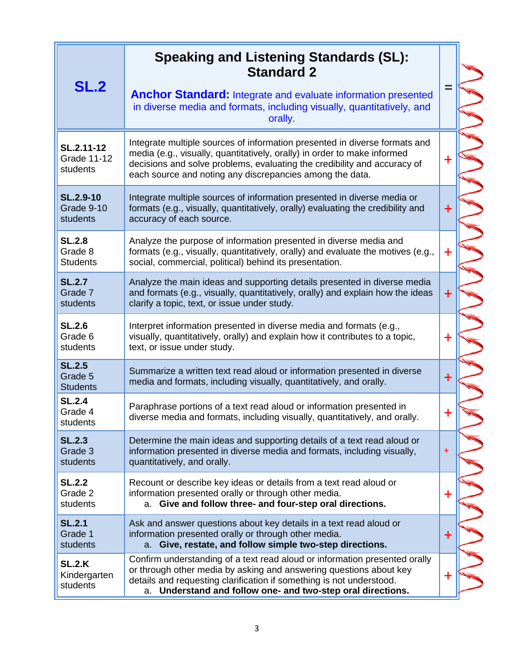| <b>SL.2</b>                                  | <b>Speaking and Listening Standards (SL):</b><br><b>Standard 2</b><br><b>Anchor Standard:</b> Integrate and evaluate information presented<br>in diverse media and formats, including visually, quantitatively, and<br>orally.                                                                 |             |
|----------------------------------------------|------------------------------------------------------------------------------------------------------------------------------------------------------------------------------------------------------------------------------------------------------------------------------------------------|-------------|
| SL.2.11-12<br><b>Grade 11-12</b><br>students | Integrate multiple sources of information presented in diverse formats and<br>media (e.g., visually, quantitatively, orally) in order to make informed<br>decisions and solve problems, evaluating the credibility and accuracy of<br>each source and noting any discrepancies among the data. | $\mathbf +$ |
| <b>SL.2.9-10</b><br>Grade 9-10<br>students   | Integrate multiple sources of information presented in diverse media or<br>formats (e.g., visually, quantitatively, orally) evaluating the credibility and<br>accuracy of each source.                                                                                                         | $\ddot{}$   |
| <b>SL.2.8</b><br>Grade 8<br><b>Students</b>  | Analyze the purpose of information presented in diverse media and<br>formats (e.g., visually, quantitatively, orally) and evaluate the motives (e.g.,<br>social, commercial, political) behind its presentation.                                                                               | $\mathbf +$ |
| <b>SL.2.7</b><br>Grade 7<br>students         | Analyze the main ideas and supporting details presented in diverse media<br>and formats (e.g., visually, quantitatively, orally) and explain how the ideas<br>clarify a topic, text, or issue under study.                                                                                     | $\mathbf +$ |
| <b>SL.2.6</b><br>Grade 6<br>students         | Interpret information presented in diverse media and formats (e.g.,<br>visually, quantitatively, orally) and explain how it contributes to a topic,<br>text, or issue under study.                                                                                                             | $\ddag$     |
| <b>SL.2.5</b><br>Grade 5<br><b>Students</b>  | Summarize a written text read aloud or information presented in diverse<br>media and formats, including visually, quantitatively, and orally.                                                                                                                                                  | $\ddag$     |
| <b>SL.2.4</b><br>Grade 4<br>students         | Paraphrase portions of a text read aloud or information presented in<br>diverse media and formats, including visually, quantitatively, and orally.                                                                                                                                             |             |
| <b>SL.2.3</b><br>Grade 3<br>students         | Determine the main ideas and supporting details of a text read aloud or<br>information presented in diverse media and formats, including visually,<br>quantitatively, and orally.                                                                                                              | $\ddot{}$   |
| <b>SL.2.2</b><br>Grade 2<br>students         | Recount or describe key ideas or details from a text read aloud or<br>information presented orally or through other media.<br>a. Give and follow three- and four-step oral directions.                                                                                                         | $\mathbf +$ |
| <b>SL.2.1</b><br>Grade 1<br>students         | Ask and answer questions about key details in a text read aloud or<br>information presented orally or through other media.<br>a. Give, restate, and follow simple two-step directions.                                                                                                         | $\ddot{}$   |
| <b>SL.2.K</b><br>Kindergarten<br>students    | Confirm understanding of a text read aloud or information presented orally<br>or through other media by asking and answering questions about key<br>details and requesting clarification if something is not understood.<br>a. Understand and follow one- and two-step oral directions.        | $\mathbf +$ |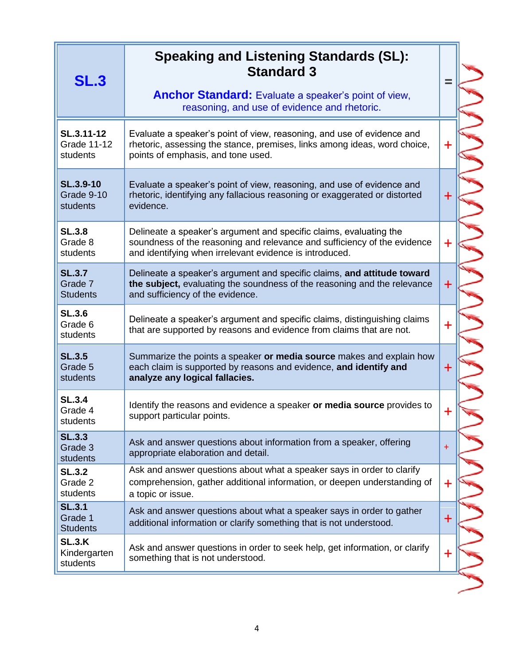| <b>SL.3</b>                                  | <b>Speaking and Listening Standards (SL):</b><br><b>Standard 3</b>                                                                                                                                        |             |
|----------------------------------------------|-----------------------------------------------------------------------------------------------------------------------------------------------------------------------------------------------------------|-------------|
|                                              | <b>Anchor Standard:</b> Evaluate a speaker's point of view,<br>reasoning, and use of evidence and rhetoric.                                                                                               |             |
| SL.3.11-12<br><b>Grade 11-12</b><br>students | Evaluate a speaker's point of view, reasoning, and use of evidence and<br>rhetoric, assessing the stance, premises, links among ideas, word choice,<br>points of emphasis, and tone used.                 | $\mathbf +$ |
| <b>SL.3.9-10</b><br>Grade 9-10<br>students   | Evaluate a speaker's point of view, reasoning, and use of evidence and<br>rhetoric, identifying any fallacious reasoning or exaggerated or distorted<br>evidence.                                         | $\ddot{}$   |
| <b>SL.3.8</b><br>Grade 8<br>students         | Delineate a speaker's argument and specific claims, evaluating the<br>soundness of the reasoning and relevance and sufficiency of the evidence<br>and identifying when irrelevant evidence is introduced. | $\ddag$     |
| <b>SL.3.7</b><br>Grade 7<br><b>Students</b>  | Delineate a speaker's argument and specific claims, and attitude toward<br>the subject, evaluating the soundness of the reasoning and the relevance<br>and sufficiency of the evidence.                   | $+$         |
| <b>SL.3.6</b><br>Grade 6<br>students         | Delineate a speaker's argument and specific claims, distinguishing claims<br>that are supported by reasons and evidence from claims that are not.                                                         | $\ddot{}$   |
| <b>SL.3.5</b><br>Grade 5<br>students         | Summarize the points a speaker or media source makes and explain how<br>each claim is supported by reasons and evidence, and identify and<br>analyze any logical fallacies.                               | $\ddot{}$   |
| <b>SL.3.4</b><br>Grade 4<br>students         | Identify the reasons and evidence a speaker or media source provides to<br>support particular points.                                                                                                     | +           |
| <b>SL.3.3</b><br>Grade 3<br>students         | Ask and answer questions about information from a speaker, offering<br>appropriate elaboration and detail.                                                                                                | $\ddot{}$   |
| <b>SL.3.2</b><br>Grade 2<br>students         | Ask and answer questions about what a speaker says in order to clarify<br>comprehension, gather additional information, or deepen understanding of<br>a topic or issue.                                   | $\mathbf +$ |
| <b>SL.3.1</b><br>Grade 1<br><b>Students</b>  | Ask and answer questions about what a speaker says in order to gather<br>additional information or clarify something that is not understood.                                                              | $\mathbf +$ |
| <b>SL.3.K</b><br>Kindergarten<br>students    | Ask and answer questions in order to seek help, get information, or clarify<br>something that is not understood.                                                                                          | $\mathbf +$ |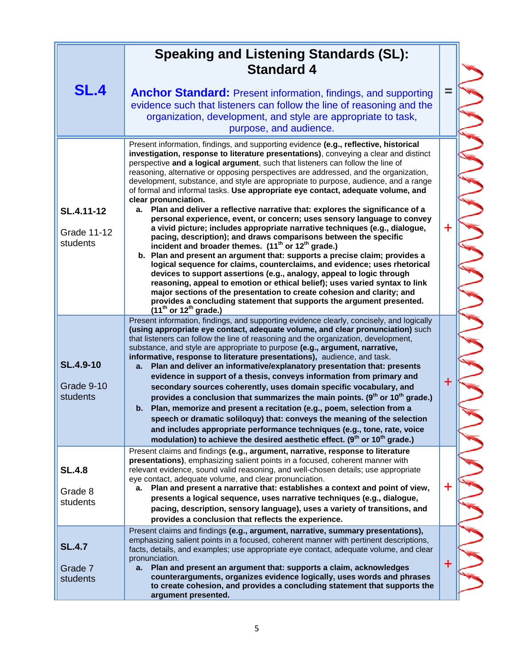|                                              | <b>Speaking and Listening Standards (SL):</b><br><b>Standard 4</b>                                                                                                                                                                                                                                                                                                                                                                                                                                                                                                                                                                                                                                                                                                                                                                                                                                                                                                                                                                                                                                                                                                                                                                                                                                                                                                                                                                                                      |             |
|----------------------------------------------|-------------------------------------------------------------------------------------------------------------------------------------------------------------------------------------------------------------------------------------------------------------------------------------------------------------------------------------------------------------------------------------------------------------------------------------------------------------------------------------------------------------------------------------------------------------------------------------------------------------------------------------------------------------------------------------------------------------------------------------------------------------------------------------------------------------------------------------------------------------------------------------------------------------------------------------------------------------------------------------------------------------------------------------------------------------------------------------------------------------------------------------------------------------------------------------------------------------------------------------------------------------------------------------------------------------------------------------------------------------------------------------------------------------------------------------------------------------------------|-------------|
| <b>SL.4</b>                                  | <b>Anchor Standard:</b> Present information, findings, and supporting<br>evidence such that listeners can follow the line of reasoning and the<br>organization, development, and style are appropriate to task,<br>purpose, and audience.                                                                                                                                                                                                                                                                                                                                                                                                                                                                                                                                                                                                                                                                                                                                                                                                                                                                                                                                                                                                                                                                                                                                                                                                                               | Ξ           |
| SL.4.11-12<br><b>Grade 11-12</b><br>students | Present information, findings, and supporting evidence (e.g., reflective, historical<br>investigation, response to literature presentations), conveying a clear and distinct<br>perspective and a logical argument, such that listeners can follow the line of<br>reasoning, alternative or opposing perspectives are addressed, and the organization,<br>development, substance, and style are appropriate to purpose, audience, and a range<br>of formal and informal tasks. Use appropriate eye contact, adequate volume, and<br>clear pronunciation.<br>Plan and deliver a reflective narrative that: explores the significance of a<br>а.<br>personal experience, event, or concern; uses sensory language to convey<br>a vivid picture; includes appropriate narrative techniques (e.g., dialogue,<br>pacing, description); and draws comparisons between the specific<br>incident and broader themes. (11 <sup>th</sup> or 12 <sup>th</sup> grade.)<br>b. Plan and present an argument that: supports a precise claim; provides a<br>logical sequence for claims, counterclaims, and evidence; uses rhetorical<br>devices to support assertions (e.g., analogy, appeal to logic through<br>reasoning, appeal to emotion or ethical belief); uses varied syntax to link<br>major sections of the presentation to create cohesion and clarity; and<br>provides a concluding statement that supports the argument presented.<br>$(11th$ or 12 <sup>th</sup> grade.) | $\ddot{}$   |
| <b>SL.4.9-10</b><br>Grade 9-10<br>students   | Present information, findings, and supporting evidence clearly, concisely, and logically<br>(using appropriate eye contact, adequate volume, and clear pronunciation) such<br>that listeners can follow the line of reasoning and the organization, development,<br>substance, and style are appropriate to purpose (e.g., argument, narrative,<br>informative, response to literature presentations), audience, and task.<br>Plan and deliver an informative/explanatory presentation that: presents<br>a.<br>evidence in support of a thesis, conveys information from primary and<br>secondary sources coherently, uses domain specific vocabulary, and<br>provides a conclusion that summarizes the main points. (9 <sup>th</sup> or 10 <sup>th</sup> grade.)<br>Plan, memorize and present a recitation (e.g., poem, selection from a<br>b.<br>speech or dramatic soliloquy) that: conveys the meaning of the selection<br>and includes appropriate performance techniques (e.g., tone, rate, voice<br>modulation) to achieve the desired aesthetic effect. (9 <sup>th</sup> or 10 <sup>th</sup> grade.)                                                                                                                                                                                                                                                                                                                                                           | $\ddot{}$   |
| <b>SL.4.8</b><br>Grade 8<br>students         | Present claims and findings (e.g., argument, narrative, response to literature<br>presentations), emphasizing salient points in a focused, coherent manner with<br>relevant evidence, sound valid reasoning, and well-chosen details; use appropriate<br>eye contact, adequate volume, and clear pronunciation.<br>Plan and present a narrative that: establishes a context and point of view,<br>а.<br>presents a logical sequence, uses narrative techniques (e.g., dialogue,<br>pacing, description, sensory language), uses a variety of transitions, and<br>provides a conclusion that reflects the experience.                                                                                                                                                                                                                                                                                                                                                                                                                                                                                                                                                                                                                                                                                                                                                                                                                                                    | $\mathbf +$ |
| <b>SL.4.7</b><br>Grade 7<br>students         | Present claims and findings (e.g., argument, narrative, summary presentations),<br>emphasizing salient points in a focused, coherent manner with pertinent descriptions,<br>facts, details, and examples; use appropriate eye contact, adequate volume, and clear<br>pronunciation.<br>Plan and present an argument that: supports a claim, acknowledges<br>a.<br>counterarguments, organizes evidence logically, uses words and phrases<br>to create cohesion, and provides a concluding statement that supports the<br>argument presented.                                                                                                                                                                                                                                                                                                                                                                                                                                                                                                                                                                                                                                                                                                                                                                                                                                                                                                                            | $\pm$       |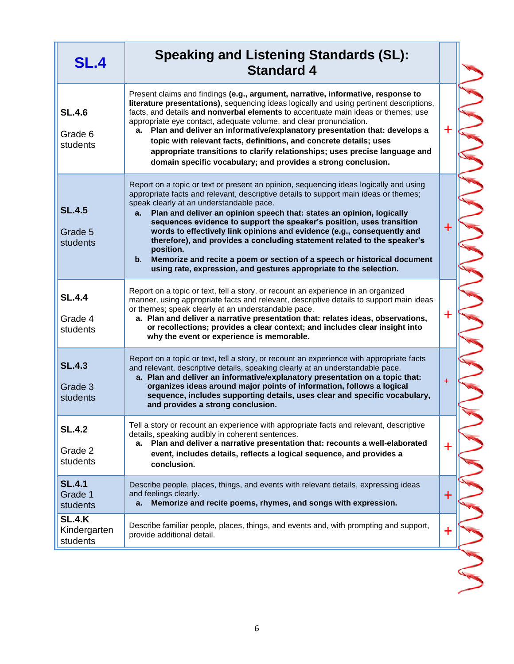| <b>SL.4</b>                               | <b>Speaking and Listening Standards (SL):</b><br><b>Standard 4</b>                                                                                                                                                                                                                                                                                                                                                                                                                                                                                                                                                                                                                                            |             |
|-------------------------------------------|---------------------------------------------------------------------------------------------------------------------------------------------------------------------------------------------------------------------------------------------------------------------------------------------------------------------------------------------------------------------------------------------------------------------------------------------------------------------------------------------------------------------------------------------------------------------------------------------------------------------------------------------------------------------------------------------------------------|-------------|
| <b>SL.4.6</b><br>Grade 6<br>students      | Present claims and findings (e.g., argument, narrative, informative, response to<br>literature presentations), sequencing ideas logically and using pertinent descriptions,<br>facts, and details and nonverbal elements to accentuate main ideas or themes; use<br>appropriate eye contact, adequate volume, and clear pronunciation.<br>a. Plan and deliver an informative/explanatory presentation that: develops a<br>topic with relevant facts, definitions, and concrete details; uses<br>appropriate transitions to clarify relationships; uses precise language and<br>domain specific vocabulary; and provides a strong conclusion.                                                                  | $\ddag$     |
| <b>SL.4.5</b><br>Grade 5<br>students      | Report on a topic or text or present an opinion, sequencing ideas logically and using<br>appropriate facts and relevant, descriptive details to support main ideas or themes;<br>speak clearly at an understandable pace.<br>Plan and deliver an opinion speech that: states an opinion, logically<br>а.<br>sequences evidence to support the speaker's position, uses transition<br>words to effectively link opinions and evidence (e.g., consequently and<br>therefore), and provides a concluding statement related to the speaker's<br>position.<br>Memorize and recite a poem or section of a speech or historical document<br>b.<br>using rate, expression, and gestures appropriate to the selection. | $\div$      |
| <b>SL.4.4</b><br>Grade 4<br>students      | Report on a topic or text, tell a story, or recount an experience in an organized<br>manner, using appropriate facts and relevant, descriptive details to support main ideas<br>or themes; speak clearly at an understandable pace.<br>a. Plan and deliver a narrative presentation that: relates ideas, observations,<br>or recollections; provides a clear context; and includes clear insight into<br>why the event or experience is memorable.                                                                                                                                                                                                                                                            | $\mathbf +$ |
| <b>SL.4.3</b><br>Grade 3<br>students      | Report on a topic or text, tell a story, or recount an experience with appropriate facts<br>and relevant, descriptive details, speaking clearly at an understandable pace.<br>a. Plan and deliver an informative/explanatory presentation on a topic that:<br>organizes ideas around major points of information, follows a logical<br>sequence, includes supporting details, uses clear and specific vocabulary,<br>and provides a strong conclusion.                                                                                                                                                                                                                                                        | $+$         |
| <b>SL.4.2</b><br>Grade 2<br>students      | Tell a story or recount an experience with appropriate facts and relevant, descriptive<br>details, speaking audibly in coherent sentences.<br>Plan and deliver a narrative presentation that: recounts a well-elaborated<br>а.<br>event, includes details, reflects a logical sequence, and provides a<br>conclusion.                                                                                                                                                                                                                                                                                                                                                                                         | ╉           |
| <b>SL.4.1</b><br>Grade 1<br>students      | Describe people, places, things, and events with relevant details, expressing ideas<br>and feelings clearly.<br>Memorize and recite poems, rhymes, and songs with expression.<br>a.                                                                                                                                                                                                                                                                                                                                                                                                                                                                                                                           | $\mathbf +$ |
| <b>SL.4.K</b><br>Kindergarten<br>students | Describe familiar people, places, things, and events and, with prompting and support,<br>provide additional detail.                                                                                                                                                                                                                                                                                                                                                                                                                                                                                                                                                                                           | $\ddagger$  |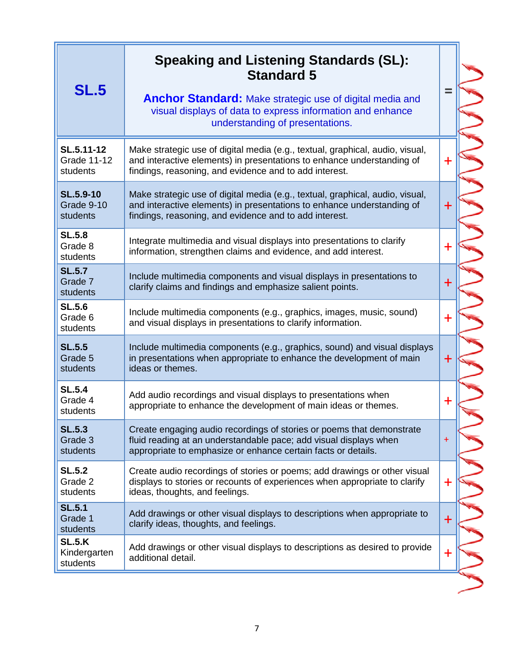| <b>SL.5</b>                                  | <b>Speaking and Listening Standards (SL):</b><br><b>Standard 5</b><br><b>Anchor Standard:</b> Make strategic use of digital media and<br>visual displays of data to express information and enhance<br>understanding of presentations. |             |  |
|----------------------------------------------|----------------------------------------------------------------------------------------------------------------------------------------------------------------------------------------------------------------------------------------|-------------|--|
| SL.5.11-12<br><b>Grade 11-12</b><br>students | Make strategic use of digital media (e.g., textual, graphical, audio, visual,<br>and interactive elements) in presentations to enhance understanding of<br>findings, reasoning, and evidence and to add interest.                      | $\mathbf +$ |  |
| <b>SL.5.9-10</b><br>Grade 9-10<br>students   | Make strategic use of digital media (e.g., textual, graphical, audio, visual,<br>and interactive elements) in presentations to enhance understanding of<br>findings, reasoning, and evidence and to add interest.                      | $\bm{+}$    |  |
| <b>SL.5.8</b><br>Grade 8<br>students         | Integrate multimedia and visual displays into presentations to clarify<br>information, strengthen claims and evidence, and add interest.                                                                                               | $\mathbf +$ |  |
| <b>SL.5.7</b><br>Grade 7<br>students         | Include multimedia components and visual displays in presentations to<br>clarify claims and findings and emphasize salient points.                                                                                                     | $+$         |  |
| <b>SL.5.6</b><br>Grade 6<br>students         | Include multimedia components (e.g., graphics, images, music, sound)<br>and visual displays in presentations to clarify information.                                                                                                   | $\ddag$     |  |
| <b>SL.5.5</b><br>Grade 5<br>students         | Include multimedia components (e.g., graphics, sound) and visual displays<br>in presentations when appropriate to enhance the development of main<br>ideas or themes.                                                                  | $\ddot{}$   |  |
| <b>SL.5.4</b><br>Grade 4<br>students         | Add audio recordings and visual displays to presentations when<br>appropriate to enhance the development of main ideas or themes.                                                                                                      | $\mathbf +$ |  |
| <b>SL.5.3</b><br>Grade 3<br>students         | Create engaging audio recordings of stories or poems that demonstrate<br>fluid reading at an understandable pace; add visual displays when<br>appropriate to emphasize or enhance certain facts or details.                            | $\ddot{}$   |  |
| <b>SL.5.2</b><br>Grade 2<br>students         | Create audio recordings of stories or poems; add drawings or other visual<br>displays to stories or recounts of experiences when appropriate to clarify<br>ideas, thoughts, and feelings.                                              | $\mathbf +$ |  |
| <b>SL.5.1</b><br>Grade 1<br>students         | Add drawings or other visual displays to descriptions when appropriate to<br>clarify ideas, thoughts, and feelings.                                                                                                                    | $\ddot{}$   |  |
| <b>SL.5.K</b><br>Kindergarten<br>students    | Add drawings or other visual displays to descriptions as desired to provide<br>additional detail.                                                                                                                                      | $\ddagger$  |  |